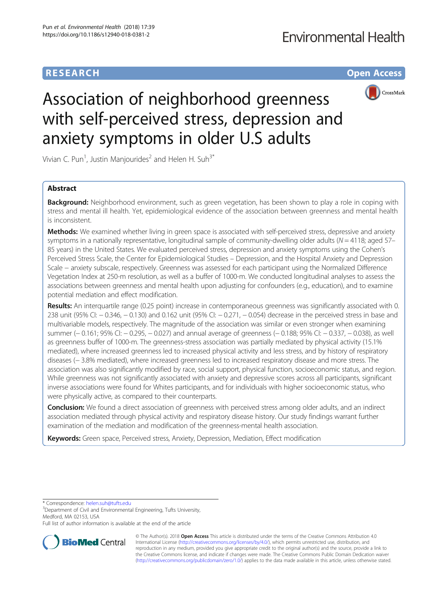## **RESEARCH CHE Open Access**



# Association of neighborhood greenness with self-perceived stress, depression and anxiety symptoms in older U.S adults

Vivian C. Pun<sup>1</sup>, Justin Manjourides<sup>2</sup> and Helen H. Suh<sup>3\*</sup>

## Abstract

**Background:** Neighborhood environment, such as green vegetation, has been shown to play a role in coping with stress and mental ill health. Yet, epidemiological evidence of the association between greenness and mental health is inconsistent.

Methods: We examined whether living in green space is associated with self-perceived stress, depressive and anxiety symptoms in a nationally representative, longitudinal sample of community-dwelling older adults ( $N = 4118$ ; aged 57– 85 years) in the United States. We evaluated perceived stress, depression and anxiety symptoms using the Cohen's Perceived Stress Scale, the Center for Epidemiological Studies – Depression, and the Hospital Anxiety and Depression Scale − anxiety subscale, respectively. Greenness was assessed for each participant using the Normalized Difference Vegetation Index at 250-m resolution, as well as a buffer of 1000-m. We conducted longitudinal analyses to assess the associations between greenness and mental health upon adjusting for confounders (e.g., education), and to examine potential mediation and effect modification.

Results: An interquartile range (0.25 point) increase in contemporaneous greenness was significantly associated with 0. 238 unit (95% CI: − 0.346, − 0.130) and 0.162 unit (95% CI: − 0.271, − 0.054) decrease in the perceived stress in base and multivariable models, respectively. The magnitude of the association was similar or even stronger when examining summer (− 0.161; 95% CI: − 0.295, − 0.027) and annual average of greenness (− 0.188; 95% CI: − 0.337, − 0.038), as well as greenness buffer of 1000-m. The greenness-stress association was partially mediated by physical activity (15.1% mediated), where increased greenness led to increased physical activity and less stress, and by history of respiratory diseases (− 3.8% mediated), where increased greenness led to increased respiratory disease and more stress. The association was also significantly modified by race, social support, physical function, socioeconomic status, and region. While greenness was not significantly associated with anxiety and depressive scores across all participants, significant inverse associations were found for Whites participants, and for individuals with higher socioeconomic status, who were physically active, as compared to their counterparts.

**Conclusion:** We found a direct association of greenness with perceived stress among older adults, and an indirect association mediated through physical activity and respiratory disease history. Our study findings warrant further examination of the mediation and modification of the greenness-mental health association.

Keywords: Green space, Perceived stress, Anxiety, Depression, Mediation, Effect modification

\* Correspondence: [helen.suh@tufts.edu](mailto:helen.suh@tufts.edu) <sup>3</sup>

<sup>3</sup>Department of Civil and Environmental Engineering, Tufts University, Medford, MA 02153, USA

Full list of author information is available at the end of the article



© The Author(s). 2018 Open Access This article is distributed under the terms of the Creative Commons Attribution 4.0 International License [\(http://creativecommons.org/licenses/by/4.0/](http://creativecommons.org/licenses/by/4.0/)), which permits unrestricted use, distribution, and reproduction in any medium, provided you give appropriate credit to the original author(s) and the source, provide a link to the Creative Commons license, and indicate if changes were made. The Creative Commons Public Domain Dedication waiver [\(http://creativecommons.org/publicdomain/zero/1.0/](http://creativecommons.org/publicdomain/zero/1.0/)) applies to the data made available in this article, unless otherwise stated.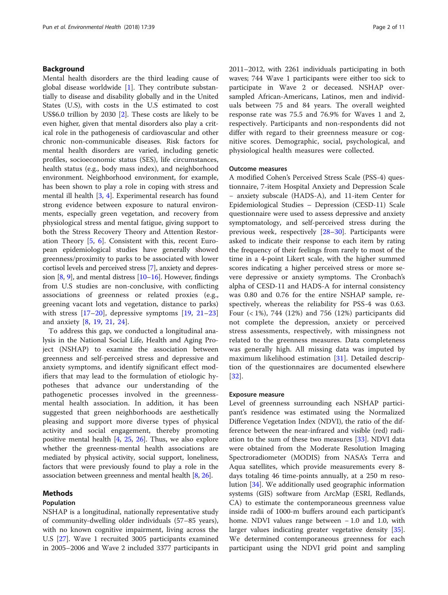## Background

Mental health disorders are the third leading cause of global disease worldwide  $[1]$  $[1]$ . They contribute substantially to disease and disability globally and in the United States (U.S), with costs in the U.S estimated to cost US\$6.0 trillion by 2030 [[2\]](#page-9-0). These costs are likely to be even higher, given that mental disorders also play a critical role in the pathogenesis of cardiovascular and other chronic non-communicable diseases. Risk factors for mental health disorders are varied, including genetic profiles, socioeconomic status (SES), life circumstances, health status (e.g., body mass index), and neighborhood environment. Neighborhood environment, for example, has been shown to play a role in coping with stress and mental ill health [[3,](#page-9-0) [4](#page-9-0)]. Experimental research has found strong evidence between exposure to natural environments, especially green vegetation, and recovery from physiological stress and mental fatigue, giving support to both the Stress Recovery Theory and Attention Restoration Theory [[5,](#page-9-0) [6](#page-9-0)]. Consistent with this, recent European epidemiological studies have generally showed greenness/proximity to parks to be associated with lower cortisol levels and perceived stress [\[7](#page-9-0)], anxiety and depression  $[8, 9]$  $[8, 9]$  $[8, 9]$ , and mental distress  $[10–16]$  $[10–16]$  $[10–16]$ . However, findings from U.S studies are non-conclusive, with conflicting associations of greenness or related proxies (e.g., greening vacant lots and vegetation, distance to parks) with stress  $[17–20]$  $[17–20]$  $[17–20]$  $[17–20]$ , depressive symptoms  $[19, 21–23]$  $[19, 21–23]$  $[19, 21–23]$  $[19, 21–23]$  $[19, 21–23]$  $[19, 21–23]$  $[19, 21–23]$ and anxiety [[8,](#page-9-0) [19](#page-9-0), [21](#page-9-0), [24](#page-9-0)].

To address this gap, we conducted a longitudinal analysis in the National Social Life, Health and Aging Project (NSHAP) to examine the association between greenness and self-perceived stress and depressive and anxiety symptoms, and identify significant effect modifiers that may lead to the formulation of etiologic hypotheses that advance our understanding of the pathogenetic processes involved in the greennessmental health association. In addition, it has been suggested that green neighborhoods are aesthetically pleasing and support more diverse types of physical activity and social engagement, thereby promoting positive mental health [\[4](#page-9-0), [25,](#page-9-0) [26\]](#page-9-0). Thus, we also explore whether the greenness-mental health associations are mediated by physical activity, social support, loneliness, factors that were previously found to play a role in the association between greenness and mental health [[8,](#page-9-0) [26\]](#page-9-0).

## Methods

## Population

NSHAP is a longitudinal, nationally representative study of community-dwelling older individuals (57–85 years), with no known cognitive impairment, living across the U.S [\[27](#page-9-0)]. Wave 1 recruited 3005 participants examined in 2005–2006 and Wave 2 included 3377 participants in 2011–2012, with 2261 individuals participating in both waves; 744 Wave 1 participants were either too sick to participate in Wave 2 or deceased. NSHAP oversampled African-Americans, Latinos, men and individuals between 75 and 84 years. The overall weighted response rate was 75.5 and 76.9% for Waves 1 and 2, respectively. Participants and non-respondents did not differ with regard to their greenness measure or cognitive scores. Demographic, social, psychological, and physiological health measures were collected.

## Outcome measures

A modified Cohen's Perceived Stress Scale (PSS-4) questionnaire, 7-item Hospital Anxiety and Depression Scale − anxiety subscale (HADS-A), and 11-item Center for Epidemiological Studies – Depression (CESD-11) Scale questionnaire were used to assess depressive and anxiety symptomatology, and self-perceived stress during the previous week, respectively [\[28](#page-9-0)–[30\]](#page-9-0). Participants were asked to indicate their response to each item by rating the frequency of their feelings from rarely to most of the time in a 4-point Likert scale, with the higher summed scores indicating a higher perceived stress or more severe depressive or anxiety symptoms. The Cronbach's alpha of CESD-11 and HADS-A for internal consistency was 0.80 and 0.76 for the entire NSHAP sample, respectively, whereas the reliability for PSS-4 was 0.63. Four  $(< 1\%)$ , 744 (12%) and 756 (12%) participants did not complete the depression, anxiety or perceived stress assessments, respectively, with missingness not related to the greenness measures. Data completeness was generally high. All missing data was imputed by maximum likelihood estimation [\[31](#page-9-0)]. Detailed description of the questionnaires are documented elsewhere [[32](#page-9-0)].

## Exposure measure

Level of greenness surrounding each NSHAP participant's residence was estimated using the Normalized Difference Vegetation Index (NDVI), the ratio of the difference between the near-infrared and visible (red) radiation to the sum of these two measures [\[33\]](#page-10-0). NDVI data were obtained from the Moderate Resolution Imaging Spectroradiometer (MODIS) from NASA's Terra and Aqua satellites, which provide measurements every 8 days totaling 46 time-points annually, at a 250 m resolution [[34\]](#page-10-0). We additionally used geographic information systems (GIS) software from ArcMap (ESRI, Redlands, CA) to estimate the contemporaneous greenness value inside radii of 1000-m buffers around each participant's home. NDVI values range between − 1.0 and 1.0, with larger values indicating greater vegetative density [\[35](#page-10-0)]. We determined contemporaneous greenness for each participant using the NDVI grid point and sampling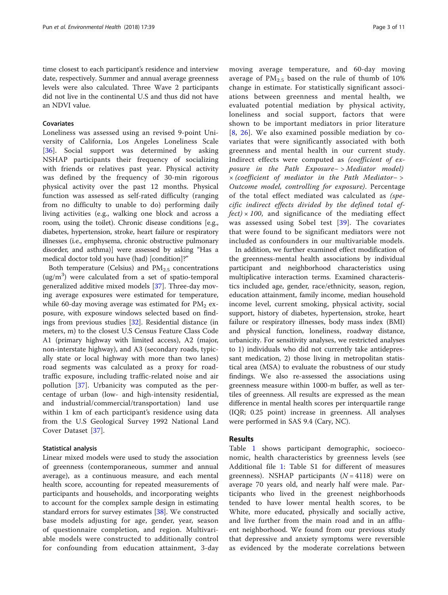time closest to each participant's residence and interview date, respectively. Summer and annual average greenness levels were also calculated. Three Wave 2 participants did not live in the continental U.S and thus did not have an NDVI value.

## Covariates

Loneliness was assessed using an revised 9-point University of California, Los Angeles Loneliness Scale [[36\]](#page-10-0). Social support was determined by asking NSHAP participants their frequency of socializing with friends or relatives past year. Physical activity was defined by the frequency of 30-min rigorous physical activity over the past 12 months. Physical function was assessed as self-rated difficulty (ranging from no difficulty to unable to do) performing daily living activities (e.g., walking one block and across a room, using the toilet). Chronic disease conditions [e.g., diabetes, hypertension, stroke, heart failure or respiratory illnesses (i.e., emphysema, chronic obstructive pulmonary disorder, and asthma)] were assessed by asking "Has a medical doctor told you have (had) [condition]?"

Both temperature (Celsius) and  $PM_{2.5}$  concentrations  $(ug/m<sup>3</sup>)$  were calculated from a set of spatio-temporal generalized additive mixed models [[37](#page-10-0)]. Three-day moving average exposures were estimated for temperature, while 60-day moving average was estimated for  $PM<sub>2</sub>$  exposure, with exposure windows selected based on findings from previous studies [[32\]](#page-9-0). Residential distance (in meters, m) to the closest U.S Census Feature Class Code A1 (primary highway with limited access), A2 (major, non-interstate highway), and A3 (secondary roads, typically state or local highway with more than two lanes) road segments was calculated as a proxy for roadtraffic exposure, including traffic-related noise and air pollution [\[37](#page-10-0)]. Urbanicity was computed as the percentage of urban (low- and high-intensity residential, and industrial/commercial/transportation) land use within 1 km of each participant's residence using data from the U.S Geological Survey 1992 National Land Cover Dataset [[37\]](#page-10-0).

## Statistical analysis

Linear mixed models were used to study the association of greenness (contemporaneous, summer and annual average), as a continuous measure, and each mental health score, accounting for repeated measurements of participants and households, and incorporating weights to account for the complex sample design in estimating standard errors for survey estimates [\[38\]](#page-10-0). We constructed base models adjusting for age, gender, year, season of questionnaire completion, and region. Multivariable models were constructed to additionally control for confounding from education attainment, 3-day

moving average temperature, and 60-day moving average of  $PM_{2.5}$  based on the rule of thumb of 10% change in estimate. For statistically significant associations between greenness and mental health, we evaluated potential mediation by physical activity, loneliness and social support, factors that were shown to be important mediators in prior literature [[8](#page-9-0), [26](#page-9-0)]. We also examined possible mediation by covariates that were significantly associated with both greenness and mental health in our current study. Indirect effects were computed as (coefficient of exposure in the Path Exposure− > Mediator model) × (coefficient of mediator in the Path Mediator− > Outcome model, controlling for exposure). Percentage of the total effect mediated was calculated as (specific indirect effects divided by the defined total ef $fect$ ) × 100, and significance of the mediating effect was assessed using Sobel test [\[39](#page-10-0)]. The covariates that were found to be significant mediators were not included as confounders in our multivariable models.

In addition, we further examined effect modification of the greenness-mental health associations by individual participant and neighborhood characteristics using multiplicative interaction terms. Examined characteristics included age, gender, race/ethnicity, season, region, education attainment, family income, median household income level, current smoking, physical activity, social support, history of diabetes, hypertension, stroke, heart failure or respiratory illnesses, body mass index (BMI) and physical function, loneliness, roadway distance, urbanicity. For sensitivity analyses, we restricted analyses to 1) individuals who did not currently take antidepressant medication, 2) those living in metropolitan statistical area (MSA) to evaluate the robustness of our study findings. We also re-assessed the associations using greenness measure within 1000-m buffer, as well as tertiles of greenness. All results are expressed as the mean difference in mental health scores per interquartile range (IQR; 0.25 point) increase in greenness. All analyses were performed in SAS 9.4 (Cary, NC).

## Results

Table [1](#page-3-0) shows participant demographic, socioeconomic, health characteristics by greenness levels (see Additional file [1](#page-8-0): Table S1 for different of measures greenness). NSHAP participants  $(N = 4118)$  were on average 70 years old, and nearly half were male. Participants who lived in the greenest neighborhoods tended to have lower mental health scores, to be White, more educated, physically and socially active, and live further from the main road and in an affluent neighborhood. We found from our previous study that depressive and anxiety symptoms were reversible as evidenced by the moderate correlations between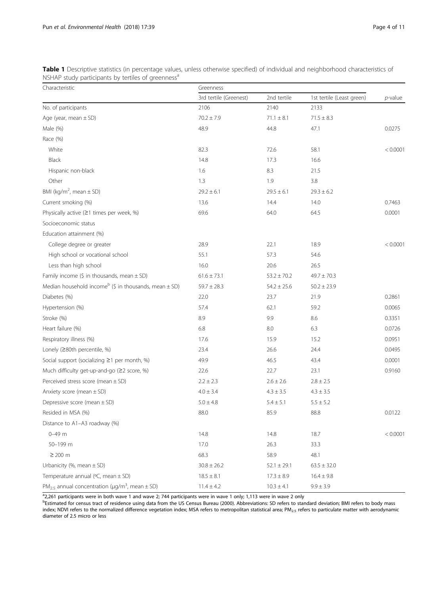<span id="page-3-0"></span>

| Table 1 Descriptive statistics (in percentage values, unless otherwise specified) of individual and neighborhood characteristics of |  |  |  |  |  |  |
|-------------------------------------------------------------------------------------------------------------------------------------|--|--|--|--|--|--|
| NSHAP study participants by tertiles of greenness <sup>a</sup>                                                                      |  |  |  |  |  |  |

| Characteristic                                                        | Greenness              |                 |                           |                 |  |  |  |
|-----------------------------------------------------------------------|------------------------|-----------------|---------------------------|-----------------|--|--|--|
|                                                                       | 3rd tertile (Greenest) | 2nd tertile     | 1st tertile (Least green) | <i>p</i> -value |  |  |  |
| No. of participants                                                   | 2106                   | 2140            | 2133                      |                 |  |  |  |
| Age (year, mean ± SD)                                                 | $70.2 \pm 7.9$         | $71.1 \pm 8.1$  | $71.5 \pm 8.3$            |                 |  |  |  |
| Male (%)                                                              | 48.9                   | 44.8            | 47.1                      | 0.0275          |  |  |  |
| Race (%)                                                              |                        |                 |                           |                 |  |  |  |
| White                                                                 | 82.3                   | 72.6            | 58.1                      | < 0.0001        |  |  |  |
| Black                                                                 | 14.8                   | 17.3            | 16.6                      |                 |  |  |  |
| Hispanic non-black                                                    | 1.6                    | 8.3             | 21.5                      |                 |  |  |  |
| Other                                                                 | 1.3                    | 1.9             | 3.8                       |                 |  |  |  |
| BMI (kg/m <sup>2</sup> , mean $\pm$ SD)                               | $29.2 \pm 6.1$         | $29.5 \pm 6.1$  | $29.3 \pm 6.2$            |                 |  |  |  |
| Current smoking (%)                                                   | 13.6                   | 14.4            | 14.0                      | 0.7463          |  |  |  |
| Physically active $(≥1$ times per week, %)                            | 69.6                   | 64.0            | 64.5                      | 0.0001          |  |  |  |
| Socioeconomic status                                                  |                        |                 |                           |                 |  |  |  |
| Education attainment (%)                                              |                        |                 |                           |                 |  |  |  |
| College degree or greater                                             | 28.9                   | 22.1            | 18.9                      | < 0.0001        |  |  |  |
| High school or vocational school                                      | 55.1                   | 57.3            | 54.6                      |                 |  |  |  |
| Less than high school                                                 | 16.0                   | 20.6            | 26.5                      |                 |  |  |  |
| Family income $(\xi$ in thousands, mean $\pm$ SD)                     | $61.6 \pm 73.1$        | $53.2 \pm 70.2$ | $49.7 \pm 70.3$           |                 |  |  |  |
| Median household income <sup>b</sup> (\$ in thousands, mean $\pm$ SD) | $59.7 \pm 28.3$        | $54.2 \pm 25.6$ | $50.2 \pm 23.9$           |                 |  |  |  |
| Diabetes (%)                                                          | 22.0                   | 23.7            | 21.9                      | 0.2861          |  |  |  |
| Hypertension (%)                                                      | 57.4                   | 62.1            | 59.2                      | 0.0065          |  |  |  |
| Stroke (%)                                                            | 8.9                    | 9.9             | 8.6                       | 0.3351          |  |  |  |
| Heart failure (%)                                                     | 6.8                    | 8.0             | 6.3                       | 0.0726          |  |  |  |
| Respiratory illness (%)                                               | 17.6                   | 15.9            | 15.2                      | 0.0951          |  |  |  |
| Lonely (≥80th percentile, %)                                          | 23.4                   | 26.6            | 24.4                      | 0.0495          |  |  |  |
| Social support (socializing $\geq$ 1 per month, %)                    | 49.9                   | 46.5            | 43.4                      | 0.0001          |  |  |  |
| Much difficulty get-up-and-go (≥2 score, %)                           | 22.6                   | 22.7            | 23.1                      | 0.9160          |  |  |  |
| Perceived stress score (mean $\pm$ SD)                                | $2.2 \pm 2.3$          | $2.6 \pm 2.6$   | $2.8 \pm 2.5$             |                 |  |  |  |
| Anxiety score (mean $\pm$ SD)                                         | $4.0 \pm 3.4$          | $4.3 \pm 3.5$   | $4.3 \pm 3.5$             |                 |  |  |  |
| Depressive score (mean $\pm$ SD)                                      | $5.0 \pm 4.8$          | $5.4 \pm 5.1$   | $5.5 \pm 5.2$             |                 |  |  |  |
| Resided in MSA (%)                                                    | 88.0                   | 85.9            | 88.8                      | 0.0122          |  |  |  |
| Distance to A1-A3 roadway (%)                                         |                        |                 |                           |                 |  |  |  |
| $0 - 49$ m                                                            | 14.8                   | 14.8            | 18.7                      | < 0.0001        |  |  |  |
| 50-199 m                                                              | 17.0                   | 26.3            | 33.3                      |                 |  |  |  |
| $\geq 200$ m                                                          | 68.3                   | 58.9            | 48.1                      |                 |  |  |  |
| Urbanicity (%, mean $\pm$ SD)                                         | $30.8 \pm 26.2$        | $52.1 \pm 29.1$ | $63.5 \pm 32.0$           |                 |  |  |  |
| Temperature annual ( $\degree$ C, mean $\pm$ SD)                      | $18.5 \pm 8.1$         | $17.3 \pm 8.9$  | $16.4 \pm 9.8$            |                 |  |  |  |
| $PM_{2.5}$ annual concentration ( $\mu q/m^3$ , mean $\pm$ SD)        | $11.4 \pm 4.2$         | $10.3 \pm 4.1$  | $9.9 \pm 3.9$             |                 |  |  |  |

<sup>a</sup>2,261 participants were in both wave 1 and wave 2; 744 participants were in wave 1 only; 1,113 were in wave 2 only<br><sup>b</sup>Estimated for census tract of residence using data from the US Census Bureau (2000). Abbreviations: S index; NDVI refers to the normalized difference vegetation index; MSA refers to metropolitan statistical area; PM<sub>2.5</sub> refers to particulate matter with aerodynamic diameter of 2.5 micro or less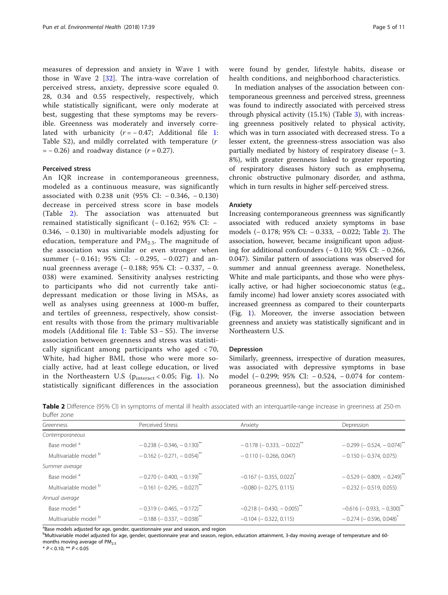<span id="page-4-0"></span>measures of depression and anxiety in Wave 1 with those in Wave  $2$  [ $32$ ]. The intra-wave correlation of perceived stress, anxiety, depressive score equaled 0. 28, 0.34 and 0.55 respectively, respectively, which while statistically significant, were only moderate at best, suggesting that these symptoms may be reversible. Greenness was moderately and inversely correlated with urbanicity  $(r = -0.47;$  Additional file [1](#page-8-0): Table S2), and mildly correlated with temperature (r  $= -0.26$ ) and roadway distance ( $r = 0.27$ ).

## Perceived stress

An IQR increase in contemporaneous greenness, modeled as a continuous measure, was significantly associated with 0.238 unit (95% CI: − 0.346, − 0.130) decrease in perceived stress score in base models (Table 2). The association was attenuated but remained statistically significant (− 0.162; 95% CI: − 0.346, − 0.130) in multivariable models adjusting for education, temperature and  $PM<sub>2.5</sub>$ . The magnitude of the association was similar or even stronger when summer (− 0.161; 95% CI: − 0.295, − 0.027) and annual greenness average (− 0.188; 95% CI: − 0.337, − 0. 038) were examined. Sensitivity analyses restricting to participants who did not currently take antidepressant medication or those living in MSAs, as well as analyses using greenness at 1000-m buffer, and tertiles of greenness, respectively, show consistent results with those from the primary multivariable models (Additional file [1](#page-8-0): Table S3 − S5). The inverse association between greenness and stress was statistically significant among participants who aged < 70, White, had higher BMI, those who were more socially active, had at least college education, or lived in the Northeastern U.S (pinteract < 0.05; Fig. [1\)](#page-5-0). No statistically significant differences in the association

were found by gender, lifestyle habits, disease or health conditions, and neighborhood characteristics.

In mediation analyses of the association between contemporaneous greenness and perceived stress, greenness was found to indirectly associated with perceived stress through physical activity (15.1%) (Table [3](#page-5-0)), with increasing greenness positively related to physical activity, which was in turn associated with decreased stress. To a lesser extent, the greenness-stress association was also partially mediated by history of respiratory disease (− 3. 8%), with greater greenness linked to greater reporting of respiratory diseases history such as emphysema, chronic obstructive pulmonary disorder, and asthma, which in turn results in higher self-perceived stress.

## Anxiety

Increasing contemporaneous greenness was significantly associated with reduced anxiety symptoms in base models (− 0.178; 95% CI: − 0.333, − 0.022; Table 2). The association, however, became insignificant upon adjusting for additional confounders (− 0.110; 95% CI: − 0.266, 0.047). Similar pattern of associations was observed for summer and annual greenness average. Nonetheless, White and male participants, and those who were physically active, or had higher socioeconomic status (e.g., family income) had lower anxiety scores associated with increased greenness as compared to their counterparts (Fig. [1\)](#page-5-0). Moreover, the inverse association between greenness and anxiety was statistically significant and in Northeastern U.S.

## Depression

Similarly, greenness, irrespective of duration measures, was associated with depressive symptoms in base model (− 0.299; 95% CI: − 0.524, − 0.074 for contemporaneous greenness), but the association diminished

Table 2 Difference (95% CI) in symptoms of mental ill health associated with an interquartile-range increase in greenness at 250-m buffer zone

| Greenness               | Perceived Stress                               | Anxiety                                        | Depression                                     |
|-------------------------|------------------------------------------------|------------------------------------------------|------------------------------------------------|
| Contemporaneous         |                                                |                                                |                                                |
| Base model <sup>a</sup> | $-0.238$ ( $-0.346$ , $-0.130$ ) <sup>**</sup> | $-0.178$ ( $-0.333$ , $-0.022$ ) <sup>**</sup> | $-0.299(-0.524,-0.074)^{4}$                    |
| Multivariable model b   | $-0.162$ ( $-0.271$ , $-0.054$ ) <sup>**</sup> | $-0.110$ ( $-0.266$ , 0.047)                   | $-0.150$ ( $-0.374$ , 0.075)                   |
| Summer average          |                                                |                                                |                                                |
| Base model <sup>a</sup> | $-0.270$ ( $-0.400$ , $-0.139$ ) <sup>**</sup> | $-0.167$ ( $-0.355$ , 0.022) <sup>*</sup>      | $-0.529$ ( $-0.809$ , $-0.249$ ) <sup>**</sup> |
| Multivariable model b   | $-0.161$ ( $-0.295$ , $-0.027$ ) <sup>**</sup> | $-0.080$ ( $-0.275$ , 0.115)                   | $-0.232$ ( $-0.519$ , 0.055)                   |
| Annual average          |                                                |                                                |                                                |
| Base model <sup>a</sup> | $-0.319$ ( $-0.465$ , $-0.172$ ) <sup>**</sup> | $-0.218$ ( $-0.430$ , $-0.005$ ) <sup>**</sup> | $-0.616$ ( $-0.933$ , $-0.300$ ) <sup>**</sup> |
| Multivariable model b   | $-0.188$ ( $-0.337$ , $-0.038$ ) <sup>**</sup> | $-0.104$ ( $-0.322$ , 0.115)                   | $-0.274$ ( $-0.596$ , 0.048) <sup>*</sup>      |

<sup>a</sup>Base models adjusted for age, gender, questionnaire year and season, and region

b<br>Multivariable model adjusted for age, gender, questionnaire year and season, region, education attainment, 3-day moving average of temperature and 60months moving average of PM<sub>2.5</sub>

 $*$  P < 0.10; \*\* P < 0.05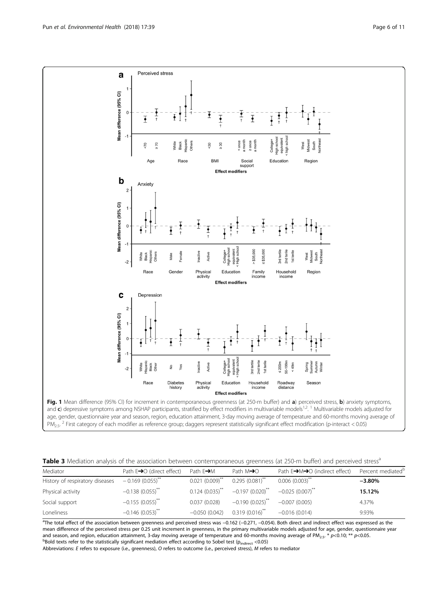<span id="page-5-0"></span>

age, gender, questionnaire year and season, region, education attainment, 3-day moving average of temperature and 60-months moving average of  $\overline{PM_{2.5}}$ . <sup>2</sup> First category of each modifier as reference group; daggers represent statistically significant effect modification (p-interact < 0.05)

|  | Table 3 Mediation analysis of the association between contemporaneous greenness (at 250-m buffer) and perceived stress <sup>a</sup> |  |
|--|-------------------------------------------------------------------------------------------------------------------------------------|--|
|--|-------------------------------------------------------------------------------------------------------------------------------------|--|

| Mediator                        | Path $E \rightarrow O$ (direct effect) | Path $E \rightarrow M$ | Path $M \rightarrow O$        | Path E→M→O (indirect effect) | Percent mediated <sup>b</sup> |
|---------------------------------|----------------------------------------|------------------------|-------------------------------|------------------------------|-------------------------------|
| History of respiratory diseases | $-0.169(0.055)$ <sup>**</sup>          | $0.021(0.009)$ **      | $0.295(0.081)$ **             | $0.006(0.003)$ **            | $-3.80\%$                     |
| Physical activity               | $-0.138(0.055)$ **                     | $0.124(0.035)^{**}$    | $-0.197(0.020)$ <sup>**</sup> | $-0.025(0.007)^{**}$         | 15.12%                        |
| Social support                  | $-0.155(0.055)$ **                     | 0.037(0.028)           | $-0.190(0.025)$ **            | $-0.007(0.005)$              | 4.37%                         |
| Loneliness                      | $-0.146(0.053)$ <sup>**</sup>          | $-0.050(0.042)$        | $0.319(0.016)$ <sup>**</sup>  | $-0.016(0.014)$              | 9.93%                         |

<sup>a</sup>The total effect of the association between greenness and perceived stress was −0.162 (−0.271, −0.054). Both direct and indirect effect was expressed as the mean difference of the perceived stress per 0.25 unit increment in greenness, in the primary multivariable models adjusted for age, gender, questionnaire year and season, and region, education attainment, 3-day moving average of temperature and 60-months moving average of PM<sub>2.5</sub>. \* p<0.10; \*\* p<0.05.<br><sup>b</sup>Bold texts refer to the statistically significant mediation effect accordin

Abbreviations: E refers to exposure (i.e., greenness), O refers to outcome (i.e., perceived stress), M refers to mediator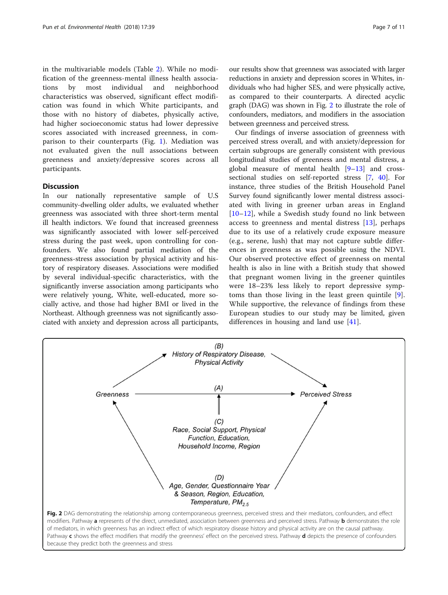in the multivariable models (Table [2\)](#page-4-0). While no modification of the greenness-mental illness health associations by most individual and neighborhood characteristics was observed, significant effect modification was found in which White participants, and those with no history of diabetes, physically active, had higher socioeconomic status had lower depressive scores associated with increased greenness, in comparison to their counterparts (Fig. [1\)](#page-5-0). Mediation was not evaluated given the null associations between greenness and anxiety/depressive scores across all participants.

## **Discussion**

In our nationally representative sample of U.S community-dwelling older adults, we evaluated whether greenness was associated with three short-term mental ill health indictors. We found that increased greenness was significantly associated with lower self-perceived stress during the past week, upon controlling for confounders. We also found partial mediation of the greenness-stress association by physical activity and history of respiratory diseases. Associations were modified by several individual-specific characteristics, with the significantly inverse association among participants who were relatively young, White, well-educated, more socially active, and those had higher BMI or lived in the Northeast. Although greenness was not significantly associated with anxiety and depression across all participants, our results show that greenness was associated with larger reductions in anxiety and depression scores in Whites, individuals who had higher SES, and were physically active, as compared to their counterparts. A directed acyclic graph (DAG) was shown in Fig. 2 to illustrate the role of confounders, mediators, and modifiers in the association between greenness and perceived stress.

Our findings of inverse association of greenness with perceived stress overall, and with anxiety/depression for certain subgroups are generally consistent with previous longitudinal studies of greenness and mental distress, a global measure of mental health [[9](#page-9-0)–[13](#page-9-0)] and crosssectional studies on self-reported stress [[7](#page-9-0), [40\]](#page-10-0). For instance, three studies of the British Household Panel Survey found significantly lower mental distress associated with living in greener urban areas in England [[10](#page-9-0)–[12\]](#page-9-0), while a Swedish study found no link between access to greenness and mental distress [[13\]](#page-9-0), perhaps due to its use of a relatively crude exposure measure (e.g., serene, lush) that may not capture subtle differences in greenness as was possible using the NDVI. Our observed protective effect of greenness on mental health is also in line with a British study that showed that pregnant women living in the greener quintiles were 18–23% less likely to report depressive symptoms than those living in the least green quintile [\[9](#page-9-0)]. While supportive, the relevance of findings from these European studies to our study may be limited, given differences in housing and land use [\[41](#page-10-0)].

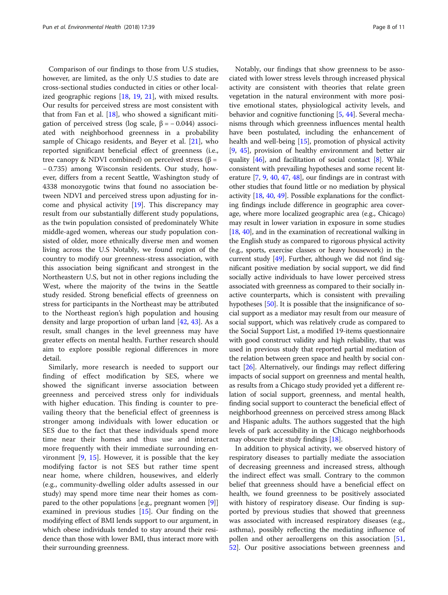Comparison of our findings to those from U.S studies, however, are limited, as the only U.S studies to date are cross-sectional studies conducted in cities or other localized geographic regions  $[18, 19, 21]$  $[18, 19, 21]$  $[18, 19, 21]$  $[18, 19, 21]$  $[18, 19, 21]$  $[18, 19, 21]$ , with mixed results. Our results for perceived stress are most consistent with that from Fan et al.  $[18]$ , who showed a significant mitigation of perceived stress (log scale,  $β = -0.044$ ) associated with neighborhood greenness in a probability sample of Chicago residents, and Beyer et al. [\[21](#page-9-0)], who reported significant beneficial effect of greenness (i.e., tree canopy & NDVI combined) on perceived stress (β = − 0.735) among Wisconsin residents. Our study, however, differs from a recent Seattle, Washington study of 4338 monozygotic twins that found no association between NDVI and perceived stress upon adjusting for income and physical activity [[19\]](#page-9-0). This discrepancy may result from our substantially different study populations, as the twin population consisted of predominately White middle-aged women, whereas our study population consisted of older, more ethnically diverse men and women living across the U.S Notably, we found region of the country to modify our greenness-stress association, with this association being significant and strongest in the Northeastern U.S, but not in other regions including the West, where the majority of the twins in the Seattle study resided. Strong beneficial effects of greenness on stress for participants in the Northeast may be attributed to the Northeast region's high population and housing density and large proportion of urban land [[42,](#page-10-0) [43\]](#page-10-0). As a result, small changes in the level greenness may have greater effects on mental health. Further research should aim to explore possible regional differences in more detail.

Similarly, more research is needed to support our finding of effect modification by SES, where we showed the significant inverse association between greenness and perceived stress only for individuals with higher education. This finding is counter to prevailing theory that the beneficial effect of greenness is stronger among individuals with lower education or SES due to the fact that these individuals spend more time near their homes and thus use and interact more frequently with their immediate surrounding environment  $[9, 15]$  $[9, 15]$  $[9, 15]$ . However, it is possible that the key modifying factor is not SES but rather time spent near home, where children, housewives, and elderly (e.g., community-dwelling older adults assessed in our study) may spend more time near their homes as compared to the other populations [e.g., pregnant women [\[9](#page-9-0)]] examined in previous studies [\[15\]](#page-9-0). Our finding on the modifying effect of BMI lends support to our argument, in which obese individuals tended to stay around their residence than those with lower BMI, thus interact more with their surrounding greenness.

Notably, our findings that show greenness to be associated with lower stress levels through increased physical activity are consistent with theories that relate green vegetation in the natural environment with more positive emotional states, physiological activity levels, and behavior and cognitive functioning [\[5,](#page-9-0) [44](#page-10-0)]. Several mechanisms through which greenness influences mental health have been postulated, including the enhancement of health and well-being [[15\]](#page-9-0), promotion of physical activity [[9,](#page-9-0) [45\]](#page-10-0), provision of healthy environment and better air quality  $[46]$ , and facilitation of social contact  $[8]$  $[8]$ . While consistent with prevailing hypotheses and some recent literature [\[7](#page-9-0), [9](#page-9-0), [40](#page-10-0), [47,](#page-10-0) [48\]](#page-10-0), our findings are in contrast with other studies that found little or no mediation by physical activity [\[18,](#page-9-0) [40,](#page-10-0) [49\]](#page-10-0). Possible explanations for the conflicting findings include difference in geographic area coverage, where more localized geographic area (e.g., Chicago) may result in lower variation in exposure in some studies [[18](#page-9-0), [40](#page-10-0)], and in the examination of recreational walking in the English study as compared to rigorous physical activity (e.g., sports, exercise classes or heavy housework) in the current study  $[49]$  $[49]$  $[49]$ . Further, although we did not find significant positive mediation by social support, we did find socially active individuals to have lower perceived stress associated with greenness as compared to their socially inactive counterparts, which is consistent with prevailing hypotheses [[50](#page-10-0)]. It is possible that the insignificance of social support as a mediator may result from our measure of social support, which was relatively crude as compared to the Social Support List, a modified 19-items questionnaire with good construct validity and high reliability, that was used in previous study that reported partial mediation of the relation between green space and health by social contact [\[26](#page-9-0)]. Alternatively, our findings may reflect differing impacts of social support on greenness and mental health, as results from a Chicago study provided yet a different relation of social support, greenness, and mental health, finding social support to counteract the beneficial effect of neighborhood greenness on perceived stress among Black and Hispanic adults. The authors suggested that the high levels of park accessibility in the Chicago neighborhoods may obscure their study findings  $[18]$  $[18]$  $[18]$ .

In addition to physical activity, we observed history of respiratory diseases to partially mediate the association of decreasing greenness and increased stress, although the indirect effect was small. Contrary to the common belief that greenness should have a beneficial effect on health, we found greenness to be positively associated with history of respiratory disease. Our finding is supported by previous studies that showed that greenness was associated with increased respiratory diseases (e.g., asthma), possibly reflecting the mediating influence of pollen and other aeroallergens on this association [[51](#page-10-0), [52\]](#page-10-0). Our positive associations between greenness and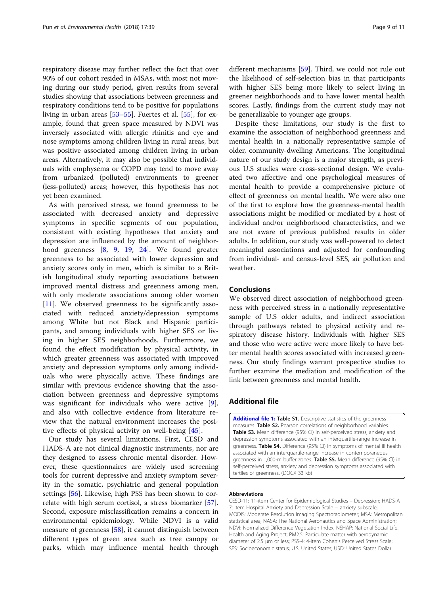<span id="page-8-0"></span>respiratory disease may further reflect the fact that over 90% of our cohort resided in MSAs, with most not moving during our study period, given results from several studies showing that associations between greenness and respiratory conditions tend to be positive for populations living in urban areas [\[53](#page-10-0)–[55\]](#page-10-0). Fuertes et al. [[55\]](#page-10-0), for example, found that green space measured by NDVI was inversely associated with allergic rhinitis and eye and nose symptoms among children living in rural areas, but was positive associated among children living in urban areas. Alternatively, it may also be possible that individuals with emphysema or COPD may tend to move away from urbanized (polluted) environments to greener (less-polluted) areas; however, this hypothesis has not yet been examined.

As with perceived stress, we found greenness to be associated with decreased anxiety and depressive symptoms in specific segments of our population, consistent with existing hypotheses that anxiety and depression are influenced by the amount of neighborhood greenness [[8,](#page-9-0) [9](#page-9-0), [19,](#page-9-0) [24](#page-9-0)]. We found greater greenness to be associated with lower depression and anxiety scores only in men, which is similar to a British longitudinal study reporting associations between improved mental distress and greenness among men, with only moderate associations among older women [[11\]](#page-9-0). We observed greenness to be significantly associated with reduced anxiety/depression symptoms among White but not Black and Hispanic participants, and among individuals with higher SES or living in higher SES neighborhoods. Furthermore, we found the effect modification by physical activity, in which greater greenness was associated with improved anxiety and depression symptoms only among individuals who were physically active. These findings are similar with previous evidence showing that the association between greenness and depressive symptoms was significant for individuals who were active [\[9](#page-9-0)], and also with collective evidence from literature review that the natural environment increases the positive effects of physical activity on well-being [\[45](#page-10-0)].

Our study has several limitations. First, CESD and HADS-A are not clinical diagnostic instruments, nor are they designed to assess chronic mental disorder. However, these questionnaires are widely used screening tools for current depressive and anxiety symptom severity in the somatic, psychiatric and general population settings [\[56\]](#page-10-0). Likewise, high PSS has been shown to correlate with high serum cortisol, a stress biomarker [\[57](#page-10-0)]. Second, exposure misclassification remains a concern in environmental epidemiology. While NDVI is a valid measure of greenness [\[58](#page-10-0)], it cannot distinguish between different types of green area such as tree canopy or parks, which may influence mental health through

different mechanisms [[59\]](#page-10-0). Third, we could not rule out the likelihood of self-selection bias in that participants with higher SES being more likely to select living in greener neighborhoods and to have lower mental health scores. Lastly, findings from the current study may not be generalizable to younger age groups.

Despite these limitations, our study is the first to examine the association of neighborhood greenness and mental health in a nationally representative sample of older, community-dwelling Americans. The longitudinal nature of our study design is a major strength, as previous U.S studies were cross-sectional design. We evaluated two affective and one psychological measures of mental health to provide a comprehensive picture of effect of greenness on mental health. We were also one of the first to explore how the greenness-mental health associations might be modified or mediated by a host of individual and/or neighborhood characteristics, and we are not aware of previous published results in older adults. In addition, our study was well-powered to detect meaningful associations and adjusted for confounding from individual- and census-level SES, air pollution and weather.

## Conclusions

We observed direct association of neighborhood greenness with perceived stress in a nationally representative sample of U.S older adults, and indirect association through pathways related to physical activity and respiratory disease history. Individuals with higher SES and those who were active were more likely to have better mental health scores associated with increased greenness. Our study findings warrant prospective studies to further examine the mediation and modification of the link between greenness and mental health.

## Additional file

[Additional file 1:](https://doi.org/10.1186/s12940-018-0381-2) Table S1. Descriptive statistics of the greenness measures. Table S2. Pearson correlations of neighborhood variables. Table S3. Mean difference (95% CI) in self-perceived stress, anxiety and depression symptoms associated with an interquartile-range increase in greenness. Table S4. Difference (95% CI) in symptoms of mental ill health associated with an interquartile-range increase in contemporaneous greenness in 1,000-m buffer zones. Table S5. Mean difference (95% CI) in self-perceived stress, anxiety and depression symptoms associated with tertiles of greenness. (DOCX 33 kb)

#### Abbreviations

CESD-11: 11-item Center for Epidemiological Studies – Depression; HADS-A 7: item Hospital Anxiety and Depression Scale − anxiety subscale; MODIS: Moderate Resolution Imaging Spectroradiometer; MSA: Metropolitan statistical area; NASA: The National Aeronautics and Space Administration; NDVI: Normalized Difference Vegetation Index; NSHAP: National Social Life, Health and Aging Project; PM2.5: Particulate matter with aerodynamic diameter of 2.5 μm or less; PSS-4: 4-item Cohen's Perceived Stress Scale; SES: Socioeconomic status; U.S: United States; USD: United States Dollar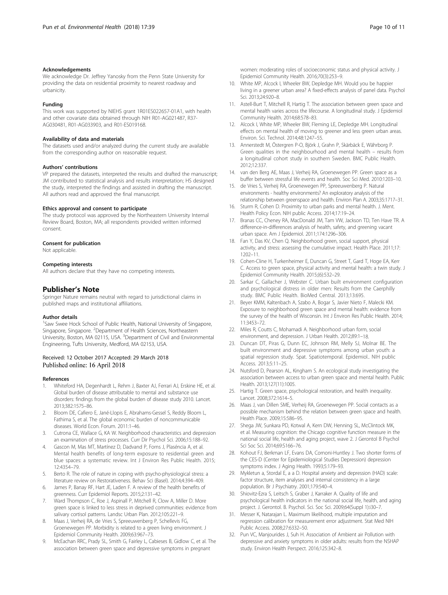#### <span id="page-9-0"></span>Acknowledgements

We acknowledge Dr. Jeffrey Yanosky from the Penn State University for providing the data on residential proximity to nearest roadway and urbanicity.

#### Funding

This work was supported by NIEHS grant 1R01ES022657-01A1, with health and other covariate data obtained through NIH R01-AG021487, R37- AG030481, R01-AG033903, and R01-ES019168.

## Availability of data and materials

The datasets used and/or analyzed during the current study are available from the corresponding author on reasonable request.

## Authors' contributions

VP prepared the datasets, interpreted the results and drafted the manuscript; JM contributed to statistical analysis and results interpretation; HS designed the study, interpreted the findings and assisted in drafting the manuscript. All authors read and approved the final manuscript.

## Ethics approval and consent to participate

The study protocol was approved by the Northeastern University Internal Review Board, Boston, MA; all respondents provided written informed consent.

#### Consent for publication

Not applicable.

#### Competing interests

All authors declare that they have no competing interests.

## Publisher's Note

Springer Nature remains neutral with regard to jurisdictional claims in published maps and institutional affiliations.

#### Author details

<sup>1</sup>Saw Swee Hock School of Public Health, National University of Singapore, Singapore, Singapore. <sup>2</sup>Department of Health Sciences, Northeastern University, Boston, MA 02115, USA. <sup>3</sup>Department of Civil and Environmental Engineering, Tufts University, Medford, MA 02153, USA.

## Received: 12 October 2017 Accepted: 29 March 2018 Published online: 16 April 2018

#### References

- 1. Whiteford HA, Degenhardt L, Rehm J, Baxter AJ, Ferrari AJ, Erskine HE, et al. Global burden of disease attributable to mental and substance use disorders: findings from the global burden of disease study 2010. Lancet. 2013;382:1575–86.
- 2. Bloom DE, Cafiero E, Jané-Llopis E, Abrahams-Gessel S, Reddy Bloom L, Fathima S, et al. The global economic burden of noncommunicable diseases. World Econ. Forum. 2011:1–46.
- 3. Cutrona CE, Wallace G, KA W. Neighborhood characteristics and depression an examination of stress processes. Curr Dir Psychol Sci. 2006;15:188–92.
- 4. Gascon M, Mas MT, Martínez D, Dadvand P, Forns J, Plaséncia A, et al. Mental health benefits of long-term exposure to residential green and blue spaces: a systematic review. Int J Environ Res Public Health. 2015; 12:4354–79.
- Berto R. The role of nature in coping with psycho-physiological stress: a literature review on Restorativeness. Behav Sci (Basel). 2014;4:394–409.
- James P, Banay RF, Hart JE, Laden F. A review of the health benefits of greenness. Curr Epidemiol Reports. 2015;2:131–42.
- 7. Ward Thompson C, Roe J, Aspinall P, Mitchell R, Clow A, Miller D. More green space is linked to less stress in deprived communities: evidence from salivary cortisol patterns. Landsc Urban Plan. 2012;105:221–9.
- 8. Maas J, Verheij RA, de Vries S, Spreeuwenberg P, Schellevis FG, Groenewegen PP. Morbidity is related to a green living environment. J Epidemiol Community Health. 2009;63:967–73.
- 9. McEachan RRC, Prady SL, Smith G, Fairley L, Cabieses B, Gidlow C, et al. The association between green space and depressive symptoms in pregnant

women: moderating roles of socioeconomic status and physical activity. J Epidemiol Community Health. 2016;70(3):253–9.

- 10. White MP, Alcock I, Wheeler BW, Depledge MH. Would you be happier living in a greener urban area? A fixed-effects analysis of panel data. Psychol Sci. 2013;24:920–8.
- 11. Astell-Burt T, Mitchell R, Hartig T. The association between green space and mental health varies across the lifecourse. A longitudinal study. J Epidemiol Community Health. 2014;68:578–83.
- 12. Alcock I, White MP, Wheeler BW, Fleming LE, Depledge MH. Longitudinal effects on mental health of moving to greener and less green urban areas. Environ. Sci. Technol. 2014;48:1247–55.
- 13. Annerstedt M, Östergren P-O, Björk J, Grahn P, Skärbäck E, Währborg P. Green qualities in the neighbourhood and mental health – results from a longitudinal cohort study in southern Sweden. BMC Public Health. 2012;12:337.
- 14. van den Berg AE, Maas J, Verheij RA, Groenewegen PP. Green space as a buffer between stressful life events and health. Soc Sci Med. 2010:1203–10.
- 15. de Vries S, Verheij RA, Groenewegen PP, Spreeuwenberg P. Natural environments - healthy environments? An exploratory analysis of the relationship between greenspace and health. Environ Plan A. 2003;35:1717–31.
- 16. Sturm R, Cohen D. Proximity to urban parks and mental health. J. Ment. Health Policy Econ. NIH public Access. 2014;17:19–24.
- 17. Branas CC, Cheney RA, MacDonald JM, Tam VW, Jackson TD, Ten Have TR. A difference-in-differences analysis of health, safety, and greening vacant urban space. Am J Epidemiol. 2011;174:1296–306.
- 18. Fan Y, Das KV, Chen Q. Neighborhood green, social support, physical activity, and stress: assessing the cumulative impact. Health Place. 2011;17: 1202–11.
- 19. Cohen-Cline H, Turkenheimer E, Duncan G, Street T, Gard T, Hoge EA, Kerr C. Access to green space, physical activity and mental health: a twin study. J Epidemiol Community Health. 2015;(6):532–29.
- 20. Sarkar C, Gallacher J, Webster C. Urban built environment configuration and psychological distress in older men: Results from the Caerphilly study. BMC Public Health. BioMed Central. 2013;13:695.
- 21. Beyer KMM, Kaltenbach A, Szabo A, Bogar S, Javier Nieto F, Malecki KM. Exposure to neighborhood green space and mental health: evidence from the survey of the health of Wisconsin. Int J Environ Res Public Health. 2014; 11:3453–72.
- 22. Miles R, Coutts C, Mohamadi A. Neighborhood urban form, social environment, and depression. J Urban Health. 2012;89:1–18.
- 23. Duncan DT, Piras G, Dunn EC, Johnson RM, Melly SJ, Molnar BE. The built environment and depressive symptoms among urban youth: a spatial regression study. Spat. Spatiotemporal. Epidemiol.. NIH public Access. 2013;5:11–25.
- 24. Nutsford D, Pearson AL, Kingham S. An ecological study investigating the association between access to urban green space and mental health. Public Health. 2013;127(11):1005.
- 25. Hartig T. Green space, psychological restoration, and health inequality. Lancet. 2008;372:1614–5.
- 26. Maas J, van Dillen SME, Verheij RA, Groenewegen PP. Social contacts as a possible mechanism behind the relation between green space and health. Health Place. 2009;15:586–95.
- 27. Shega JW, Sunkara PD, Kotwal A, Kern DW, Henning SL, McClintock MK, et al. Measuring cognition: the Chicago cognitive function measure in the national social life, health and aging project, wave 2. J Gerontol B Psychol Sci Soc Sci. 2014;69:S166–76.
- 28. Kohout FJ, Berkman LF, Evans DA, Cornoni-Huntley J. Two shorter forms of the CES-D (Center for Epidemiological Studies Depression) depression symptoms index. J Aging Health. 1993;5:179–93.
- 29. Mykletun a, Stordal E, a a D. Hospital anxiety and depression (HAD) scale: factor structure, item analyses and internal consistency in a large population. Br J Psychiatry. 2001;179:540–4.
- 30. Shiovitz-Ezra S, Leitsch S, Graber J, Karraker A. Quality of life and psychological health indicators in the national social life, health, and aging project. J. Gerontol. B. Psychol. Sci. Soc Sci. 2009;64(Suppl 1):i30–7.
- 31. Messer K, Natarajan L. Maximum likelihood, multiple imputation and regression calibration for measurement error adjustment. Stat Med NIH Public Access. 2008;27:6332–50.
- 32. Pun VC, Manjourides J, Suh H. Association of Ambient air Pollution with depressive and anxiety symptoms in older adults: results from the NSHAP study. Environ Health Perspect. 2016;125:342–8.